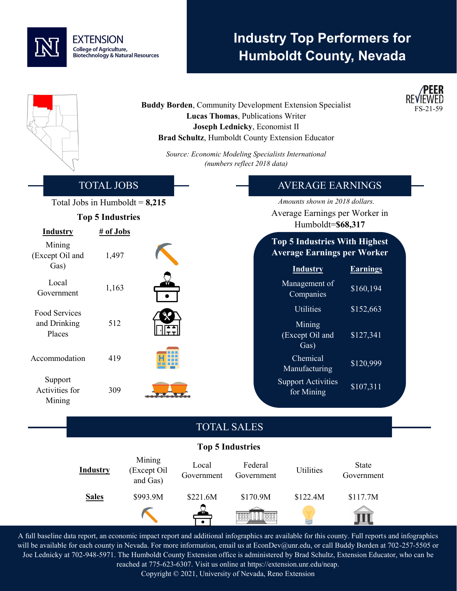# **EXTENSION** College of Agriculture,<br>Biotechnology & Natural Resources

# **Industry Top Performers for Humboldt County, Nevada**

**PEER** 

|                                              |                         |                                   | Source: Economic Modeling Specialists International | Lucas Thomas, Publications Writer<br>Joseph Lednicky, Economist II | <b>Buddy Borden, Community Development Extension Specialist</b><br>Brad Schultz, Humboldt County Extension Educator |                     | REVIEWED<br>FS-21-59 |
|----------------------------------------------|-------------------------|-----------------------------------|-----------------------------------------------------|--------------------------------------------------------------------|---------------------------------------------------------------------------------------------------------------------|---------------------|----------------------|
|                                              |                         |                                   |                                                     | (numbers reflect 2018 data)                                        |                                                                                                                     |                     |                      |
|                                              | <b>TOTAL JOBS</b>       |                                   |                                                     |                                                                    | <b>AVERAGE EARNINGS</b>                                                                                             |                     |                      |
|                                              | <b>Top 5 Industries</b> | Total Jobs in Humboldt = $8,215$  |                                                     |                                                                    | Amounts shown in 2018 dollars.<br>Average Earnings per Worker in<br>Humboldt=\$68,317                               |                     |                      |
| <b>Industry</b><br>Mining<br>(Except Oil and | # of Jobs<br>1,497      |                                   |                                                     |                                                                    | <b>Top 5 Industries With Highest</b><br><b>Average Earnings per Worker</b>                                          |                     |                      |
| Gas)                                         |                         |                                   |                                                     |                                                                    | <b>Industry</b>                                                                                                     | <b>Earnings</b>     |                      |
| Local<br>Government                          | 1,163                   |                                   |                                                     |                                                                    | Management of<br>Companies                                                                                          | \$160,194           |                      |
| Food Services<br>and Drinking                | 512                     |                                   |                                                     |                                                                    | <b>Utilities</b><br>Mining                                                                                          | \$152,663           |                      |
| Places                                       |                         |                                   |                                                     |                                                                    | (Except Oil and<br>Gas)                                                                                             | \$127,341           |                      |
| Accommodation                                | 419                     |                                   |                                                     |                                                                    | Chemical<br>Manufacturing                                                                                           | \$120,999           |                      |
| Support<br>Activities for<br>Mining          | 309                     |                                   |                                                     |                                                                    | <b>Support Activities</b><br>for Mining                                                                             | \$107,311           |                      |
|                                              |                         |                                   |                                                     | <b>TOTAL SALES</b>                                                 |                                                                                                                     |                     |                      |
|                                              |                         |                                   |                                                     | <b>Top 5 Industries</b>                                            |                                                                                                                     |                     |                      |
|                                              | <b>Industry</b>         | Mining<br>(Except Oil<br>and Gas) | Local<br>Government                                 | Federal<br>Government                                              | <b>Utilities</b>                                                                                                    | State<br>Government |                      |
|                                              | <b>Sales</b>            | \$993.9M                          | \$221.6M                                            | \$170.9M                                                           | \$122.4M                                                                                                            | \$117.7M            |                      |
|                                              |                         |                                   |                                                     | <b>Tagge</b><br><b>BBBB</b>                                        |                                                                                                                     |                     |                      |
|                                              |                         |                                   |                                                     |                                                                    |                                                                                                                     |                     |                      |

A full baseline data report, an economic impact report and additional infographics are available for this county. Full reports and infographics will be available for each county in Nevada. For more information, email us at EconDev@unr.edu, or call Buddy Borden at 702-257-5505 or Joe Lednicky at 702-948-5971. The Humboldt County Extension office is administered by Brad Schultz, Extension Educator, who can be reached at 775-623-6307. Visit us online at https://extension.unr.edu/neap.

Copyright © 2021, University of Nevada, Reno Extension